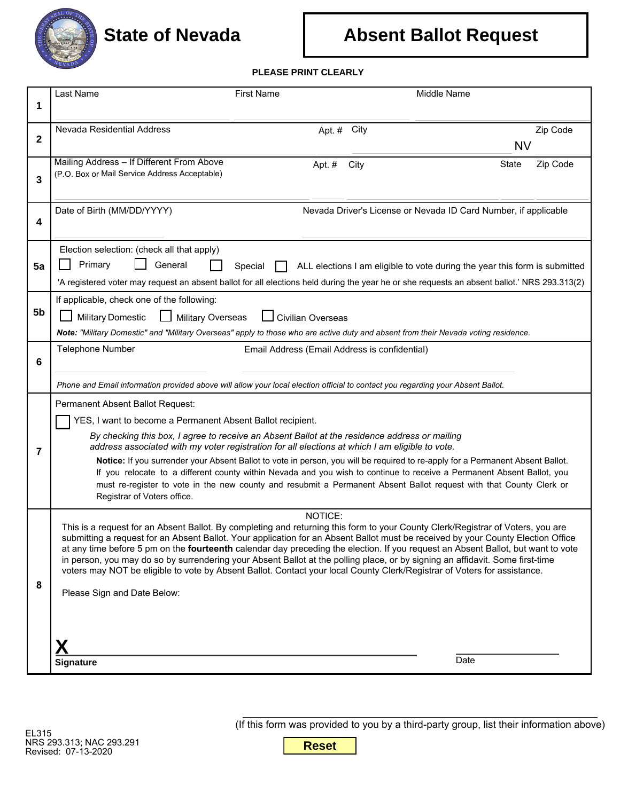

## **Absent Ballot Request**

## **PLEASE PRINT CLEARLY**

| 1                                                                                                                                                                                                                                                              |                                                                                                                                                                                                                                                                      |                                               |                                                                                                                                              |          |                             |  |
|----------------------------------------------------------------------------------------------------------------------------------------------------------------------------------------------------------------------------------------------------------------|----------------------------------------------------------------------------------------------------------------------------------------------------------------------------------------------------------------------------------------------------------------------|-----------------------------------------------|----------------------------------------------------------------------------------------------------------------------------------------------|----------|-----------------------------|--|
|                                                                                                                                                                                                                                                                |                                                                                                                                                                                                                                                                      |                                               |                                                                                                                                              |          |                             |  |
| Nevada Residential Address                                                                                                                                                                                                                                     |                                                                                                                                                                                                                                                                      | Apt. # City                                   |                                                                                                                                              | Zip Code |                             |  |
| $\mathbf{2}$                                                                                                                                                                                                                                                   |                                                                                                                                                                                                                                                                      |                                               | <b>NV</b>                                                                                                                                    |          |                             |  |
| Mailing Address - If Different From Above<br>(P.O. Box or Mail Service Address Acceptable)                                                                                                                                                                     |                                                                                                                                                                                                                                                                      | Apt. #<br>City                                | State                                                                                                                                        | Zip Code |                             |  |
| 3                                                                                                                                                                                                                                                              |                                                                                                                                                                                                                                                                      |                                               |                                                                                                                                              |          |                             |  |
| Date of Birth (MM/DD/YYYY)                                                                                                                                                                                                                                     |                                                                                                                                                                                                                                                                      |                                               | Nevada Driver's License or Nevada ID Card Number, if applicable                                                                              |          |                             |  |
| 4                                                                                                                                                                                                                                                              |                                                                                                                                                                                                                                                                      |                                               |                                                                                                                                              |          |                             |  |
| Election selection: (check all that apply)                                                                                                                                                                                                                     |                                                                                                                                                                                                                                                                      |                                               |                                                                                                                                              |          |                             |  |
| Primary<br>General<br>Special<br>5a<br>ALL elections I am eligible to vote during the year this form is submitted                                                                                                                                              |                                                                                                                                                                                                                                                                      |                                               |                                                                                                                                              |          |                             |  |
|                                                                                                                                                                                                                                                                |                                                                                                                                                                                                                                                                      |                                               | 'A registered voter may request an absent ballot for all elections held during the year he or she requests an absent ballot.' NRS 293.313(2) |          |                             |  |
| If applicable, check one of the following:                                                                                                                                                                                                                     |                                                                                                                                                                                                                                                                      |                                               |                                                                                                                                              |          |                             |  |
| 5b<br><b>Military Domestic</b>                                                                                                                                                                                                                                 | Military Overseas<br><b>Civilian Overseas</b>                                                                                                                                                                                                                        |                                               |                                                                                                                                              |          |                             |  |
| Note: "Military Domestic" and "Military Overseas" apply to those who are active duty and absent from their Nevada voting residence.                                                                                                                            |                                                                                                                                                                                                                                                                      |                                               |                                                                                                                                              |          |                             |  |
| Telephone Number<br>6                                                                                                                                                                                                                                          |                                                                                                                                                                                                                                                                      | Email Address (Email Address is confidential) |                                                                                                                                              |          |                             |  |
|                                                                                                                                                                                                                                                                |                                                                                                                                                                                                                                                                      |                                               |                                                                                                                                              |          |                             |  |
| Phone and Email information provided above will allow your local election official to contact you regarding your Absent Ballot.                                                                                                                                |                                                                                                                                                                                                                                                                      |                                               |                                                                                                                                              |          |                             |  |
| Permanent Absent Ballot Request:                                                                                                                                                                                                                               |                                                                                                                                                                                                                                                                      |                                               |                                                                                                                                              |          |                             |  |
| YES, I want to become a Permanent Absent Ballot recipient.<br>By checking this box, I agree to receive an Absent Ballot at the residence address or mailing                                                                                                    |                                                                                                                                                                                                                                                                      |                                               |                                                                                                                                              |          |                             |  |
| 7                                                                                                                                                                                                                                                              | address associated with my voter registration for all elections at which I am eligible to vote.                                                                                                                                                                      |                                               |                                                                                                                                              |          |                             |  |
|                                                                                                                                                                                                                                                                | Notice: If you surrender your Absent Ballot to vote in person, you will be required to re-apply for a Permanent Absent Ballot.<br>If you relocate to a different county within Nevada and you wish to continue to receive a Permanent Absent Ballot, you             |                                               |                                                                                                                                              |          |                             |  |
| must re-register to vote in the new county and resubmit a Permanent Absent Ballot request with that County Clerk or                                                                                                                                            |                                                                                                                                                                                                                                                                      |                                               |                                                                                                                                              |          |                             |  |
| Registrar of Voters office.                                                                                                                                                                                                                                    |                                                                                                                                                                                                                                                                      |                                               |                                                                                                                                              |          |                             |  |
|                                                                                                                                                                                                                                                                |                                                                                                                                                                                                                                                                      | NOTICE:                                       | This is a request for an Absent Ballot. By completing and returning this form to your County Clerk/Registrar of Voters, you are              |          |                             |  |
|                                                                                                                                                                                                                                                                | submitting a request for an Absent Ballot. Your application for an Absent Ballot must be received by your County Election Office<br>at any time before 5 pm on the fourteenth calendar day preceding the election. If you request an Absent Ballot, but want to vote |                                               |                                                                                                                                              |          |                             |  |
| in person, you may do so by surrendering your Absent Ballot at the polling place, or by signing an affidavit. Some first-time<br>voters may NOT be eligible to vote by Absent Ballot. Contact your local County Clerk/Registrar of Voters for assistance.<br>8 |                                                                                                                                                                                                                                                                      |                                               |                                                                                                                                              |          |                             |  |
|                                                                                                                                                                                                                                                                |                                                                                                                                                                                                                                                                      |                                               |                                                                                                                                              |          | Please Sign and Date Below: |  |
|                                                                                                                                                                                                                                                                |                                                                                                                                                                                                                                                                      |                                               |                                                                                                                                              |          |                             |  |
|                                                                                                                                                                                                                                                                |                                                                                                                                                                                                                                                                      |                                               |                                                                                                                                              |          |                             |  |
|                                                                                                                                                                                                                                                                |                                                                                                                                                                                                                                                                      |                                               | Date                                                                                                                                         |          |                             |  |
| Signature                                                                                                                                                                                                                                                      |                                                                                                                                                                                                                                                                      |                                               |                                                                                                                                              |          |                             |  |

(If this form was provided to you by a third-party group, list their information above)